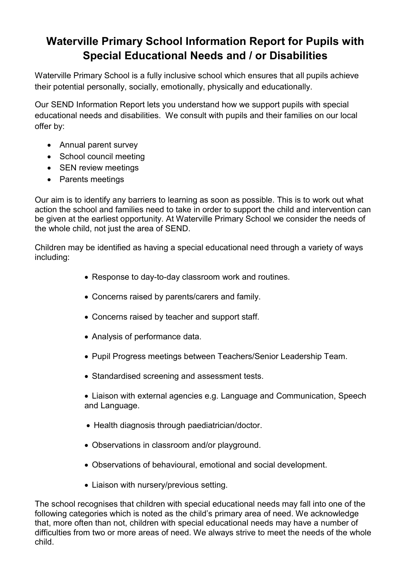# Waterville Primary School Information Report for Pupils with Special Educational Needs and / or Disabilities

Waterville Primary School is a fully inclusive school which ensures that all pupils achieve their potential personally, socially, emotionally, physically and educationally.

Our SEND Information Report lets you understand how we support pupils with special educational needs and disabilities. We consult with pupils and their families on our local offer by:

- Annual parent survey
- School council meeting
- SEN review meetings
- Parents meetings

Our aim is to identify any barriers to learning as soon as possible. This is to work out what action the school and families need to take in order to support the child and intervention can be given at the earliest opportunity. At Waterville Primary School we consider the needs of the whole child, not just the area of SEND.

Children may be identified as having a special educational need through a variety of ways including:

- Response to day-to-day classroom work and routines.
- Concerns raised by parents/carers and family.
- Concerns raised by teacher and support staff.
- Analysis of performance data.
- Pupil Progress meetings between Teachers/Senior Leadership Team.
- Standardised screening and assessment tests.
- Liaison with external agencies e.g. Language and Communication, Speech and Language.
- Health diagnosis through paediatrician/doctor.
- Observations in classroom and/or playground.
- Observations of behavioural, emotional and social development.
- Liaison with nursery/previous setting.

The school recognises that children with special educational needs may fall into one of the following categories which is noted as the child's primary area of need. We acknowledge that, more often than not, children with special educational needs may have a number of difficulties from two or more areas of need. We always strive to meet the needs of the whole child.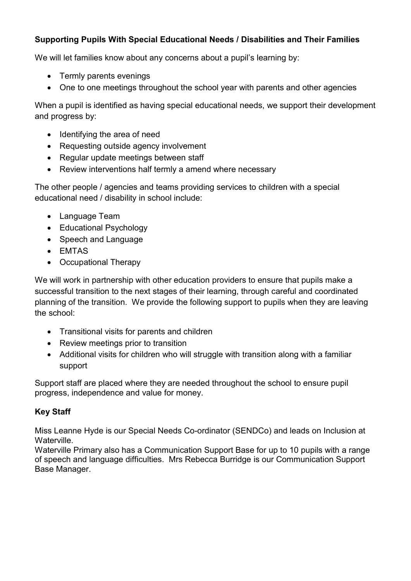# Supporting Pupils With Special Educational Needs / Disabilities and Their Families

We will let families know about any concerns about a pupil's learning by:

- Termly parents evenings
- One to one meetings throughout the school year with parents and other agencies

When a pupil is identified as having special educational needs, we support their development and progress by:

- Identifying the area of need
- Requesting outside agency involvement
- Regular update meetings between staff
- Review interventions half termly a amend where necessary

The other people / agencies and teams providing services to children with a special educational need / disability in school include:

- Language Team
- Educational Psychology
- Speech and Language
- EMTAS
- Occupational Therapy

We will work in partnership with other education providers to ensure that pupils make a successful transition to the next stages of their learning, through careful and coordinated planning of the transition. We provide the following support to pupils when they are leaving the school:

- Transitional visits for parents and children
- Review meetings prior to transition
- Additional visits for children who will struggle with transition along with a familiar support

Support staff are placed where they are needed throughout the school to ensure pupil progress, independence and value for money.

# Key Staff

Miss Leanne Hyde is our Special Needs Co-ordinator (SENDCo) and leads on Inclusion at Waterville.

Waterville Primary also has a Communication Support Base for up to 10 pupils with a range of speech and language difficulties. Mrs Rebecca Burridge is our Communication Support Base Manager.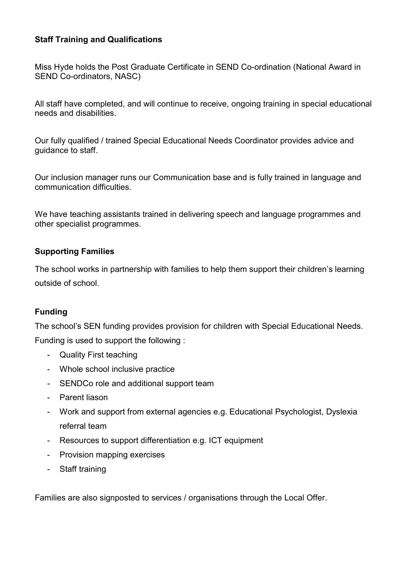#### Staff Training and Qualifications

Miss Hyde holds the Post Graduate Certificate in SEND Co-ordination (National Award in SEND Co-ordinators, NASC)

All staff have completed, and will continue to receive, ongoing training in special educational needs and disabilities.

Our fully qualified / trained Special Educational Needs Coordinator provides advice and guidance to staff.

Our inclusion manager runs our Communication base and is fully trained in language and communication difficulties.

We have teaching assistants trained in delivering speech and language programmes and other specialist programmes.

## Supporting Families

The school works in partnership with families to help them support their children's learning outside of school.

# Funding

The school's SEN funding provides provision for children with Special Educational Needs. Funding is used to support the following :

- Quality First teaching
- Whole school inclusive practice
- SENDCo role and additional support team
- Parent liason
- Work and support from external agencies e.g. Educational Psychologist, Dyslexia referral team
- Resources to support differentiation e.g. ICT equipment
- Provision mapping exercises
- Staff training

Families are also signposted to services / organisations through the Local Offer.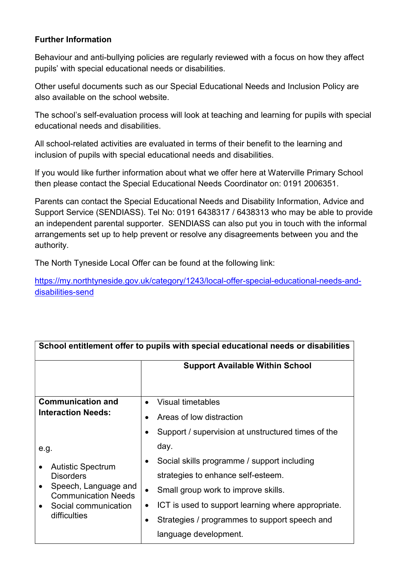## Further Information

Behaviour and anti-bullying policies are regularly reviewed with a focus on how they affect pupils' with special educational needs or disabilities.

Other useful documents such as our Special Educational Needs and Inclusion Policy are also available on the school website.

The school's self-evaluation process will look at teaching and learning for pupils with special educational needs and disabilities.

All school-related activities are evaluated in terms of their benefit to the learning and inclusion of pupils with special educational needs and disabilities.

If you would like further information about what we offer here at Waterville Primary School then please contact the Special Educational Needs Coordinator on: 0191 2006351.

Parents can contact the Special Educational Needs and Disability Information, Advice and Support Service (SENDIASS). Tel No: 0191 6438317 / 6438313 who may be able to provide an independent parental supporter. SENDIASS can also put you in touch with the informal arrangements set up to help prevent or resolve any disagreements between you and the authority.

The North Tyneside Local Offer can be found at the following link:

https://my.northtyneside.gov.uk/category/1243/local-offer-special-educational-needs-anddisabilities-send

| School entitlement offer to pupils with special educational needs or disabilities                              |                                                            |  |
|----------------------------------------------------------------------------------------------------------------|------------------------------------------------------------|--|
|                                                                                                                | <b>Support Available Within School</b>                     |  |
|                                                                                                                |                                                            |  |
| <b>Communication and</b>                                                                                       | <b>Visual timetables</b>                                   |  |
| <b>Interaction Needs:</b>                                                                                      | Areas of low distraction<br>$\bullet$                      |  |
|                                                                                                                | Support / supervision at unstructured times of the         |  |
| e.g.                                                                                                           | day.                                                       |  |
| <b>Autistic Spectrum</b>                                                                                       | Social skills programme / support including                |  |
| <b>Disorders</b><br>Speech, Language and<br><b>Communication Needs</b><br>Social communication<br>difficulties | strategies to enhance self-esteem.                         |  |
|                                                                                                                | Small group work to improve skills.                        |  |
|                                                                                                                | ICT is used to support learning where appropriate.         |  |
|                                                                                                                | Strategies / programmes to support speech and<br>$\bullet$ |  |
|                                                                                                                | language development.                                      |  |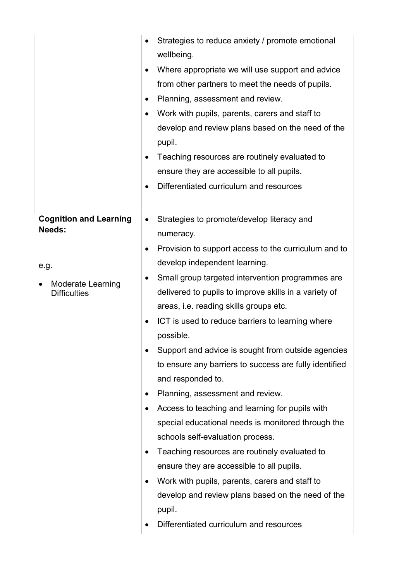|                                                                                                    | Strategies to reduce anxiety / promote emotional<br>$\bullet$<br>wellbeing.<br>Where appropriate we will use support and advice<br>$\bullet$<br>from other partners to meet the needs of pupils.<br>Planning, assessment and review.<br>$\bullet$<br>Work with pupils, parents, carers and staff to<br>$\bullet$<br>develop and review plans based on the need of the<br>pupil.<br>Teaching resources are routinely evaluated to<br>ensure they are accessible to all pupils.<br>Differentiated curriculum and resources                                                                                                                                                                                                                                                                                                                                                                                                                                                       |
|----------------------------------------------------------------------------------------------------|--------------------------------------------------------------------------------------------------------------------------------------------------------------------------------------------------------------------------------------------------------------------------------------------------------------------------------------------------------------------------------------------------------------------------------------------------------------------------------------------------------------------------------------------------------------------------------------------------------------------------------------------------------------------------------------------------------------------------------------------------------------------------------------------------------------------------------------------------------------------------------------------------------------------------------------------------------------------------------|
| <b>Cognition and Learning</b><br>Needs:<br>e.g.<br><b>Moderate Learning</b><br><b>Difficulties</b> | Strategies to promote/develop literacy and<br>$\bullet$<br>numeracy.<br>Provision to support access to the curriculum and to<br>$\bullet$<br>develop independent learning.<br>Small group targeted intervention programmes are<br>delivered to pupils to improve skills in a variety of<br>areas, i.e. reading skills groups etc.<br>ICT is used to reduce barriers to learning where<br>$\bullet$<br>possible.<br>Support and advice is sought from outside agencies<br>to ensure any barriers to success are fully identified<br>and responded to.<br>Planning, assessment and review.<br>$\bullet$<br>Access to teaching and learning for pupils with<br>$\bullet$<br>special educational needs is monitored through the<br>schools self-evaluation process.<br>Teaching resources are routinely evaluated to<br>ensure they are accessible to all pupils.<br>Work with pupils, parents, carers and staff to<br>develop and review plans based on the need of the<br>pupil. |
|                                                                                                    | Differentiated curriculum and resources                                                                                                                                                                                                                                                                                                                                                                                                                                                                                                                                                                                                                                                                                                                                                                                                                                                                                                                                        |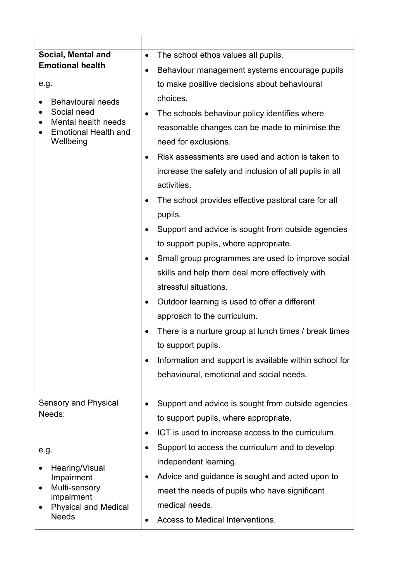| Social, Mental and                                                                                         | The school ethos values all pupils.<br>$\bullet$                                                                                                                                                                                                                                                                                                                                                                                                                                                                                                                                                                                                                                                                                                                                                                                                                                                                                   |
|------------------------------------------------------------------------------------------------------------|------------------------------------------------------------------------------------------------------------------------------------------------------------------------------------------------------------------------------------------------------------------------------------------------------------------------------------------------------------------------------------------------------------------------------------------------------------------------------------------------------------------------------------------------------------------------------------------------------------------------------------------------------------------------------------------------------------------------------------------------------------------------------------------------------------------------------------------------------------------------------------------------------------------------------------|
| <b>Emotional health</b>                                                                                    | Behaviour management systems encourage pupils<br>$\bullet$                                                                                                                                                                                                                                                                                                                                                                                                                                                                                                                                                                                                                                                                                                                                                                                                                                                                         |
| e.g.                                                                                                       | to make positive decisions about behavioural                                                                                                                                                                                                                                                                                                                                                                                                                                                                                                                                                                                                                                                                                                                                                                                                                                                                                       |
| <b>Behavioural needs</b><br>Social need<br>Mental health needs<br><b>Emotional Health and</b><br>Wellbeing | choices.<br>The schools behaviour policy identifies where<br>$\bullet$<br>reasonable changes can be made to minimise the<br>need for exclusions.<br>Risk assessments are used and action is taken to<br>$\bullet$<br>increase the safety and inclusion of all pupils in all<br>activities.<br>The school provides effective pastoral care for all<br>$\bullet$<br>pupils.<br>Support and advice is sought from outside agencies<br>$\bullet$<br>to support pupils, where appropriate.<br>Small group programmes are used to improve social<br>$\bullet$<br>skills and help them deal more effectively with<br>stressful situations.<br>Outdoor learning is used to offer a different<br>$\bullet$<br>approach to the curriculum.<br>There is a nurture group at lunch times / break times<br>to support pupils.<br>Information and support is available within school for<br>$\bullet$<br>behavioural, emotional and social needs. |
|                                                                                                            |                                                                                                                                                                                                                                                                                                                                                                                                                                                                                                                                                                                                                                                                                                                                                                                                                                                                                                                                    |
| <b>Sensory and Physical</b><br>Needs:                                                                      | Support and advice is sought from outside agencies<br>$\bullet$                                                                                                                                                                                                                                                                                                                                                                                                                                                                                                                                                                                                                                                                                                                                                                                                                                                                    |
|                                                                                                            | to support pupils, where appropriate.                                                                                                                                                                                                                                                                                                                                                                                                                                                                                                                                                                                                                                                                                                                                                                                                                                                                                              |
|                                                                                                            | ICT is used to increase access to the curriculum.                                                                                                                                                                                                                                                                                                                                                                                                                                                                                                                                                                                                                                                                                                                                                                                                                                                                                  |
| e.g.                                                                                                       | Support to access the curriculum and to develop                                                                                                                                                                                                                                                                                                                                                                                                                                                                                                                                                                                                                                                                                                                                                                                                                                                                                    |
| Hearing/Visual<br>Impairment<br>Multi-sensory                                                              | independent learning.                                                                                                                                                                                                                                                                                                                                                                                                                                                                                                                                                                                                                                                                                                                                                                                                                                                                                                              |
|                                                                                                            | Advice and guidance is sought and acted upon to<br>$\bullet$                                                                                                                                                                                                                                                                                                                                                                                                                                                                                                                                                                                                                                                                                                                                                                                                                                                                       |
| impairment                                                                                                 | meet the needs of pupils who have significant                                                                                                                                                                                                                                                                                                                                                                                                                                                                                                                                                                                                                                                                                                                                                                                                                                                                                      |
| <b>Physical and Medical</b><br><b>Needs</b>                                                                | medical needs.                                                                                                                                                                                                                                                                                                                                                                                                                                                                                                                                                                                                                                                                                                                                                                                                                                                                                                                     |
|                                                                                                            | Access to Medical Interventions.                                                                                                                                                                                                                                                                                                                                                                                                                                                                                                                                                                                                                                                                                                                                                                                                                                                                                                   |